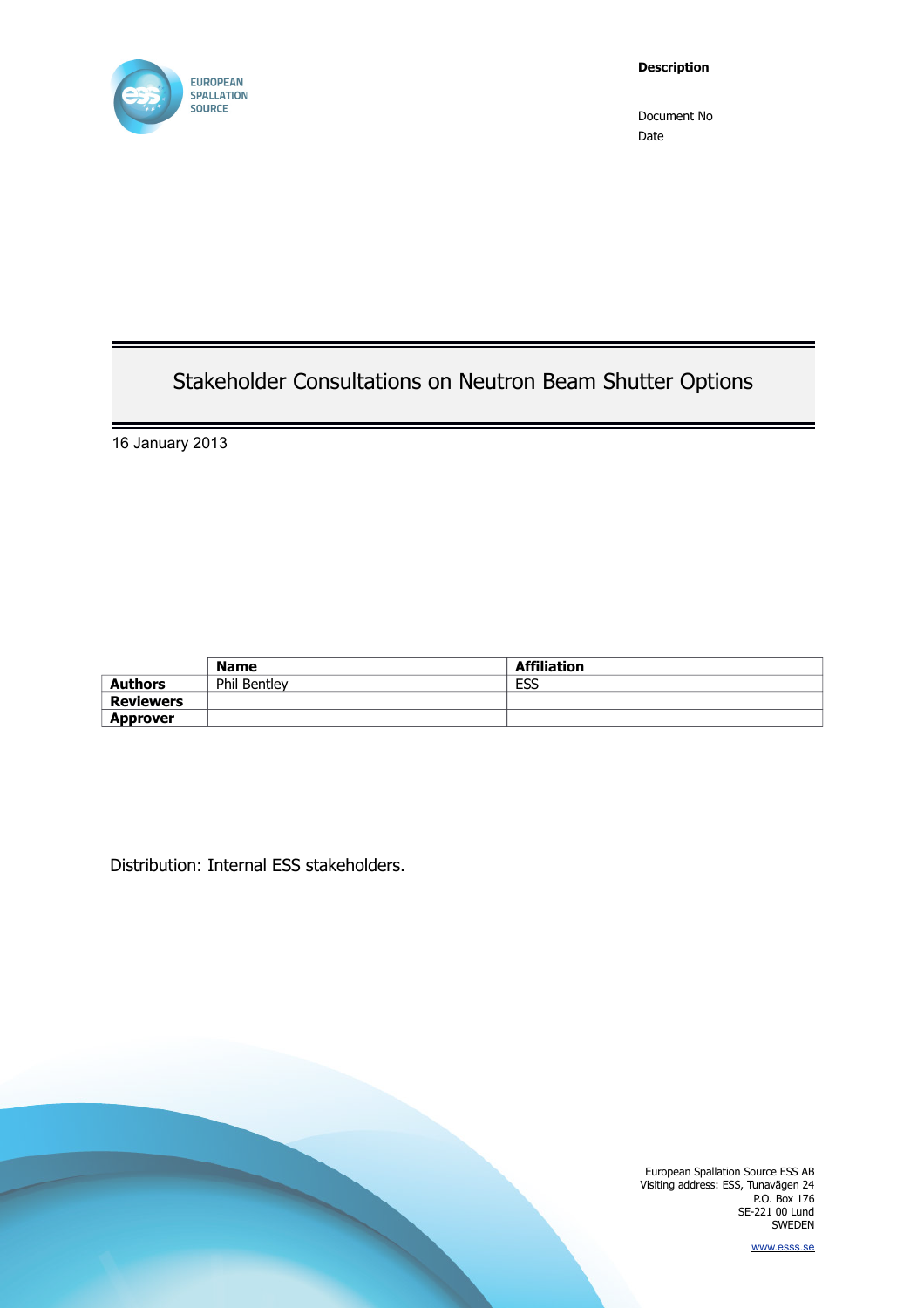

# Stakeholder Consultations on Neutron Beam Shutter Options

16 January 2013

|                  | <b>Name</b>         | <b>Affiliation</b> |
|------------------|---------------------|--------------------|
| <b>Authors</b>   | <b>Phil Bentley</b> | ESS                |
| <b>Reviewers</b> |                     |                    |
| <b>Approver</b>  |                     |                    |

Distribution: Internal ESS stakeholders.

European Spallation Source ESS AB Visiting address: ESS, Tunavägen 24 P.O. Box 176 SE-221 00 Lund SWEDEN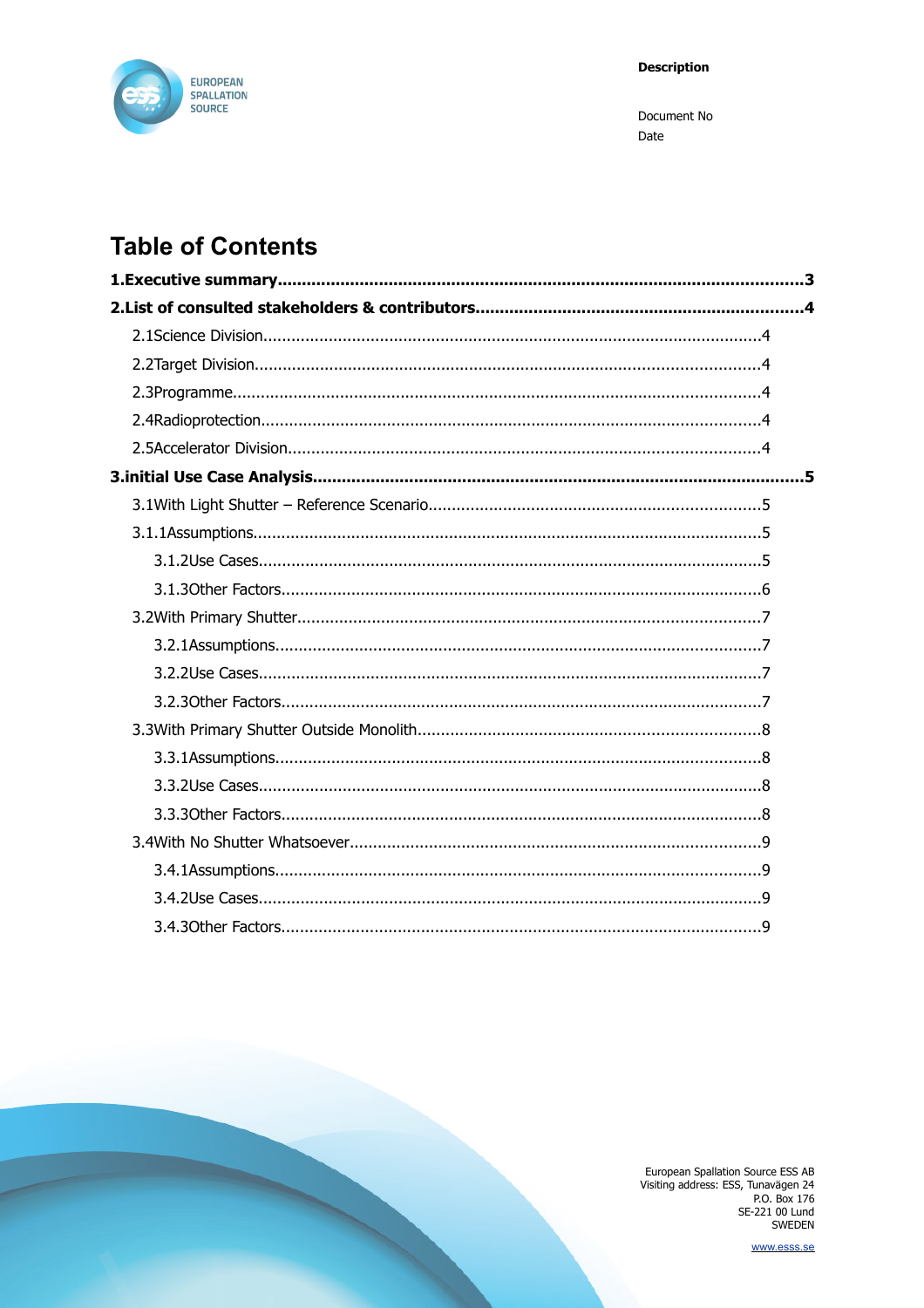

# **Table of Contents**

European Spallation Source ESS AB<br>Visiting address: ESS, Tunavägen 24<br>P.O. Box 176<br>SE-221 00 Lund<br>SWEDEN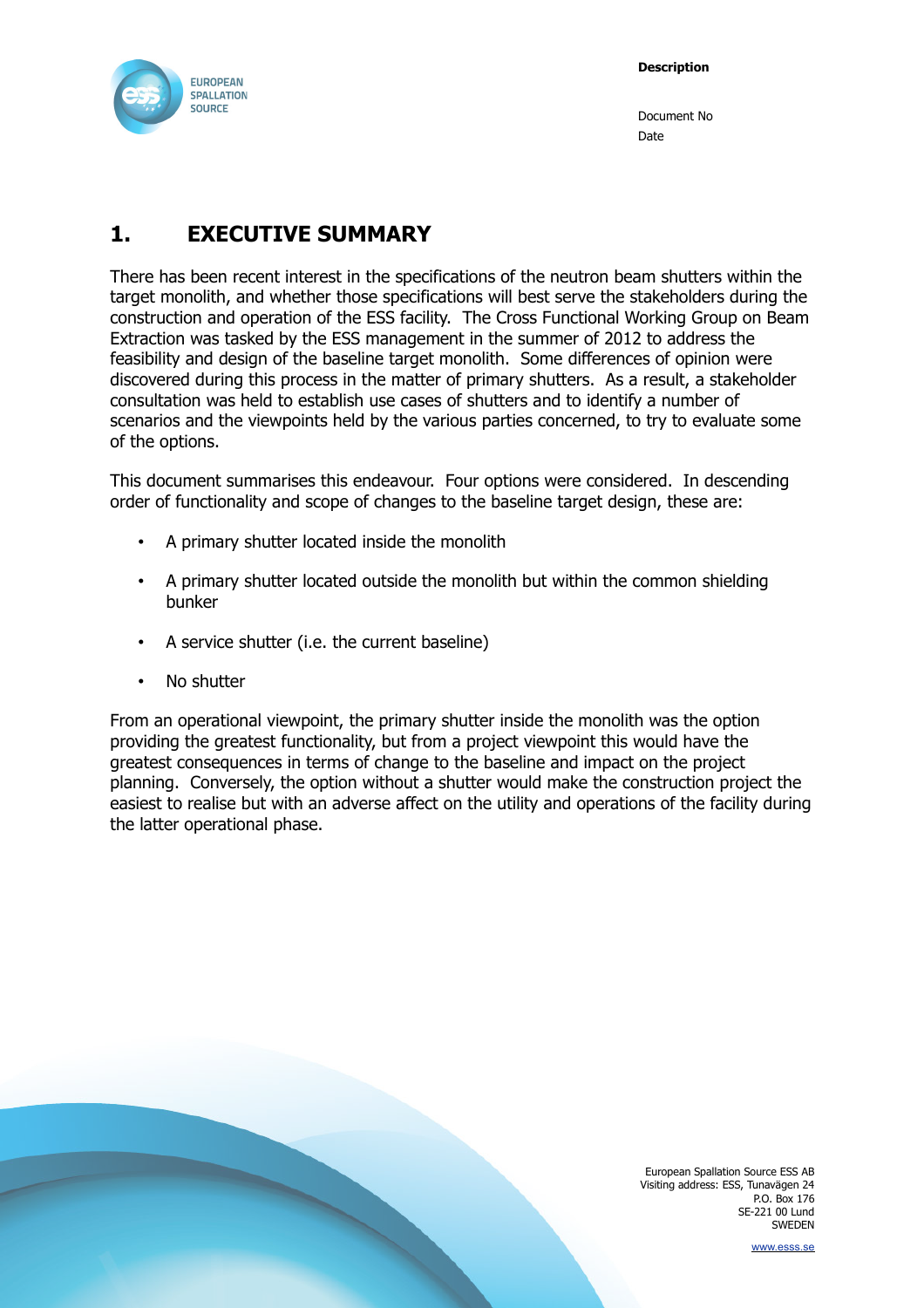

## <span id="page-2-0"></span>**1. EXECUTIVE SUMMARY**

There has been recent interest in the specifications of the neutron beam shutters within the target monolith, and whether those specifications will best serve the stakeholders during the construction and operation of the ESS facility. The Cross Functional Working Group on Beam Extraction was tasked by the ESS management in the summer of 2012 to address the feasibility and design of the baseline target monolith. Some differences of opinion were discovered during this process in the matter of primary shutters. As a result, a stakeholder consultation was held to establish use cases of shutters and to identify a number of scenarios and the viewpoints held by the various parties concerned, to try to evaluate some of the options.

This document summarises this endeavour. Four options were considered. In descending order of functionality and scope of changes to the baseline target design, these are:

- A primary shutter located inside the monolith
- A primary shutter located outside the monolith but within the common shielding bunker
- A service shutter (i.e. the current baseline)
- No shutter

From an operational viewpoint, the primary shutter inside the monolith was the option providing the greatest functionality, but from a project viewpoint this would have the greatest consequences in terms of change to the baseline and impact on the project planning. Conversely, the option without a shutter would make the construction project the easiest to realise but with an adverse affect on the utility and operations of the facility during the latter operational phase.

> European Spallation Source ESS AB Visiting address: ESS, Tunavägen 24 P.O. Box 176 SE-221 00 Lund SWEDEN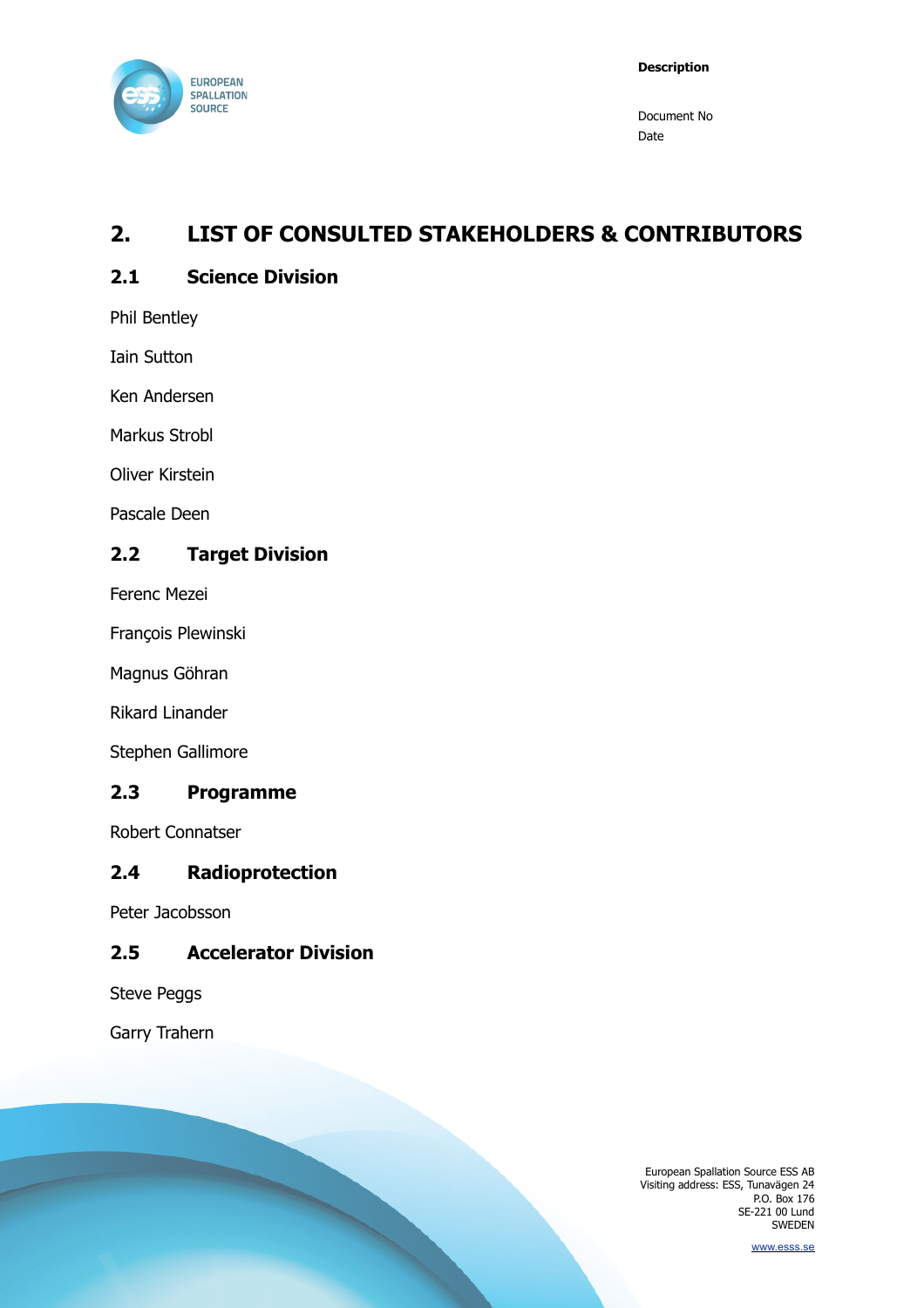

## <span id="page-3-5"></span>**2. LIST OF CONSULTED STAKEHOLDERS & CONTRIBUTORS**

#### <span id="page-3-4"></span>**2.1 Science Division**

Phil Bentley

Iain Sutton

Ken Andersen

Markus Strobl

Oliver Kirstein

Pascale Deen

#### <span id="page-3-3"></span>**2.2 Target Division**

Ferenc Mezei

François Plewinski

Magnus Göhran

Rikard Linander

Stephen Gallimore

#### <span id="page-3-2"></span>**2.3 Programme**

Robert Connatser

#### <span id="page-3-1"></span>**2.4 Radioprotection**

Peter Jacobsson

#### <span id="page-3-0"></span>**2.5 Accelerator Division**

Steve Peggs

Garry Trahern

European Spallation Source ESS AB Visiting address: ESS, Tunavägen 24 P.O. Box 176 SE-221 00 Lund SWEDEN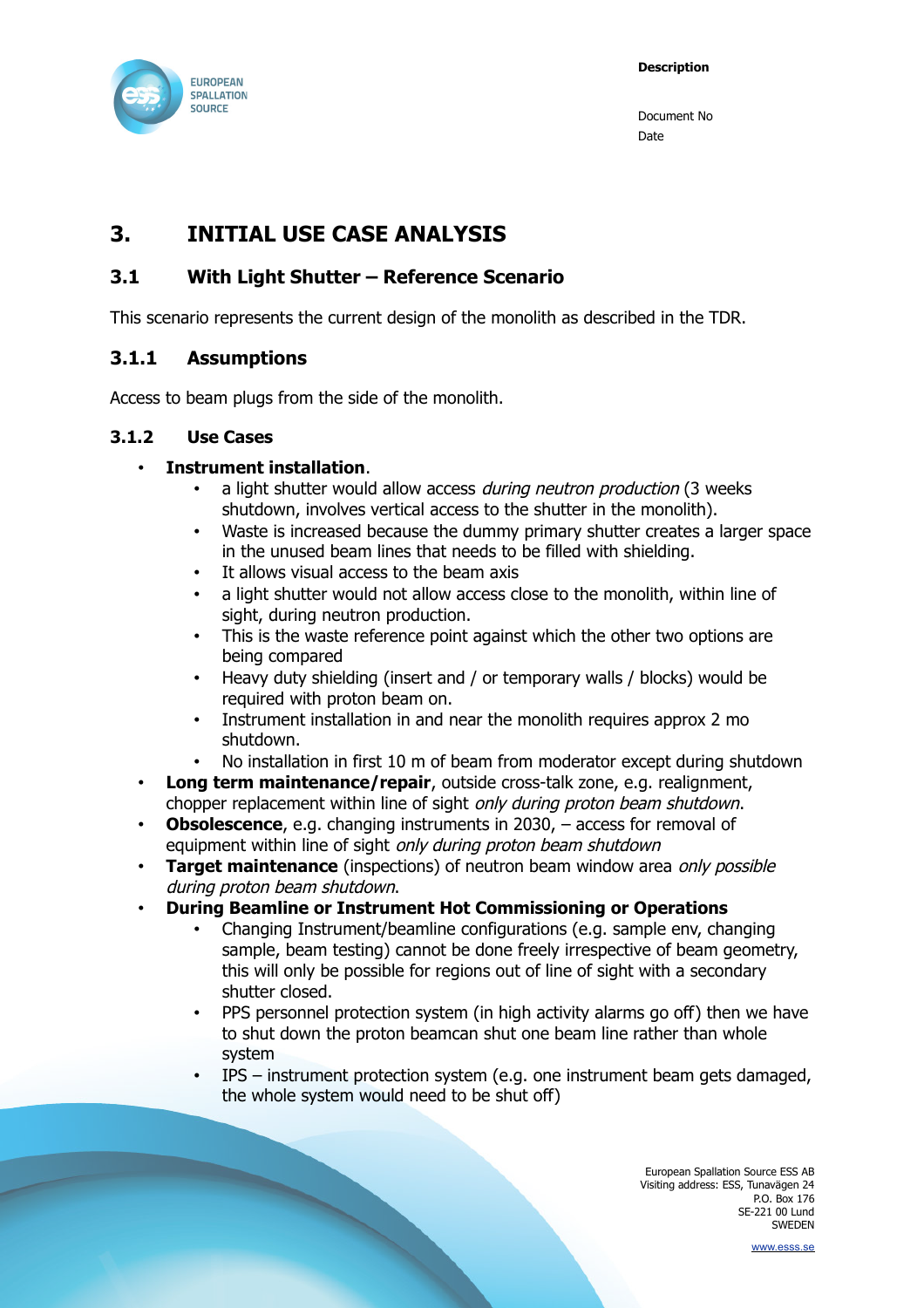

## <span id="page-4-3"></span>**3. INITIAL USE CASE ANALYSIS**

### <span id="page-4-2"></span>**3.1 With Light Shutter – Reference Scenario**

This scenario represents the current design of the monolith as described in the TDR.

#### <span id="page-4-1"></span>**3.1.1 Assumptions**

Access to beam plugs from the side of the monolith.

#### **3.1.2 Use Cases**

#### • **Instrument installation**.

- <span id="page-4-0"></span>a light shutter would allow access during neutron production (3 weeks) shutdown, involves vertical access to the shutter in the monolith).
- Waste is increased because the dummy primary shutter creates a larger space in the unused beam lines that needs to be filled with shielding.
- It allows visual access to the beam axis
- a light shutter would not allow access close to the monolith, within line of sight, during neutron production.
- This is the waste reference point against which the other two options are being compared
- Heavy duty shielding (insert and / or temporary walls / blocks) would be required with proton beam on.
- Instrument installation in and near the monolith requires approx 2 mo shutdown.
- No installation in first 10 m of beam from moderator except during shutdown
- **Long term maintenance/repair**, outside cross-talk zone, e.g. realignment, chopper replacement within line of sight only during proton beam shutdown.
- **Obsolescence**, e.g. changing instruments in 2030, access for removal of equipment within line of sight only during proton beam shutdown
- **Target maintenance** (inspections) of neutron beam window area only possible during proton beam shutdown.
- **During Beamline or Instrument Hot Commissioning or Operations**
	- Changing Instrument/beamline configurations (e.g. sample env, changing sample, beam testing) cannot be done freely irrespective of beam geometry, this will only be possible for regions out of line of sight with a secondary shutter closed.
	- PPS personnel protection system (in high activity alarms go off) then we have to shut down the proton beamcan shut one beam line rather than whole system
	- IPS instrument protection system (e.g. one instrument beam gets damaged, the whole system would need to be shut off)

European Spallation Source ESS AB Visiting address: ESS, Tunavägen 24 P.O. Box 176 SE-221 00 Lund SWEDEN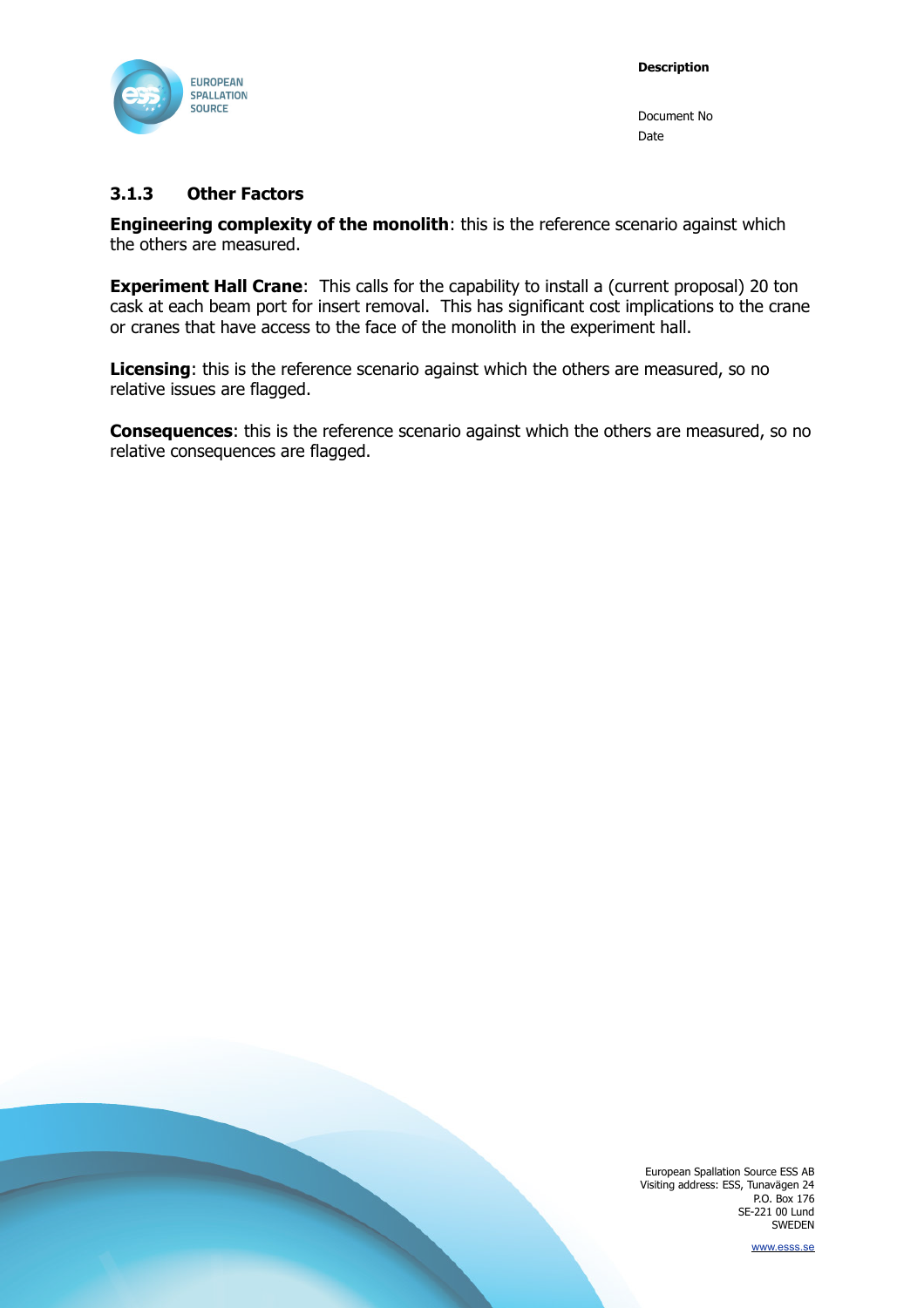

#### <span id="page-5-0"></span>**3.1.3 Other Factors**

**Engineering complexity of the monolith:** this is the reference scenario against which the others are measured.

**Experiment Hall Crane:** This calls for the capability to install a (current proposal) 20 ton cask at each beam port for insert removal. This has significant cost implications to the crane or cranes that have access to the face of the monolith in the experiment hall.

**Licensing**: this is the reference scenario against which the others are measured, so no relative issues are flagged.

**Consequences**: this is the reference scenario against which the others are measured, so no relative consequences are flagged.

> European Spallation Source ESS AB Visiting address: ESS, Tunavägen 24 P.O. Box 176 SE-221 00 Lund SWEDEN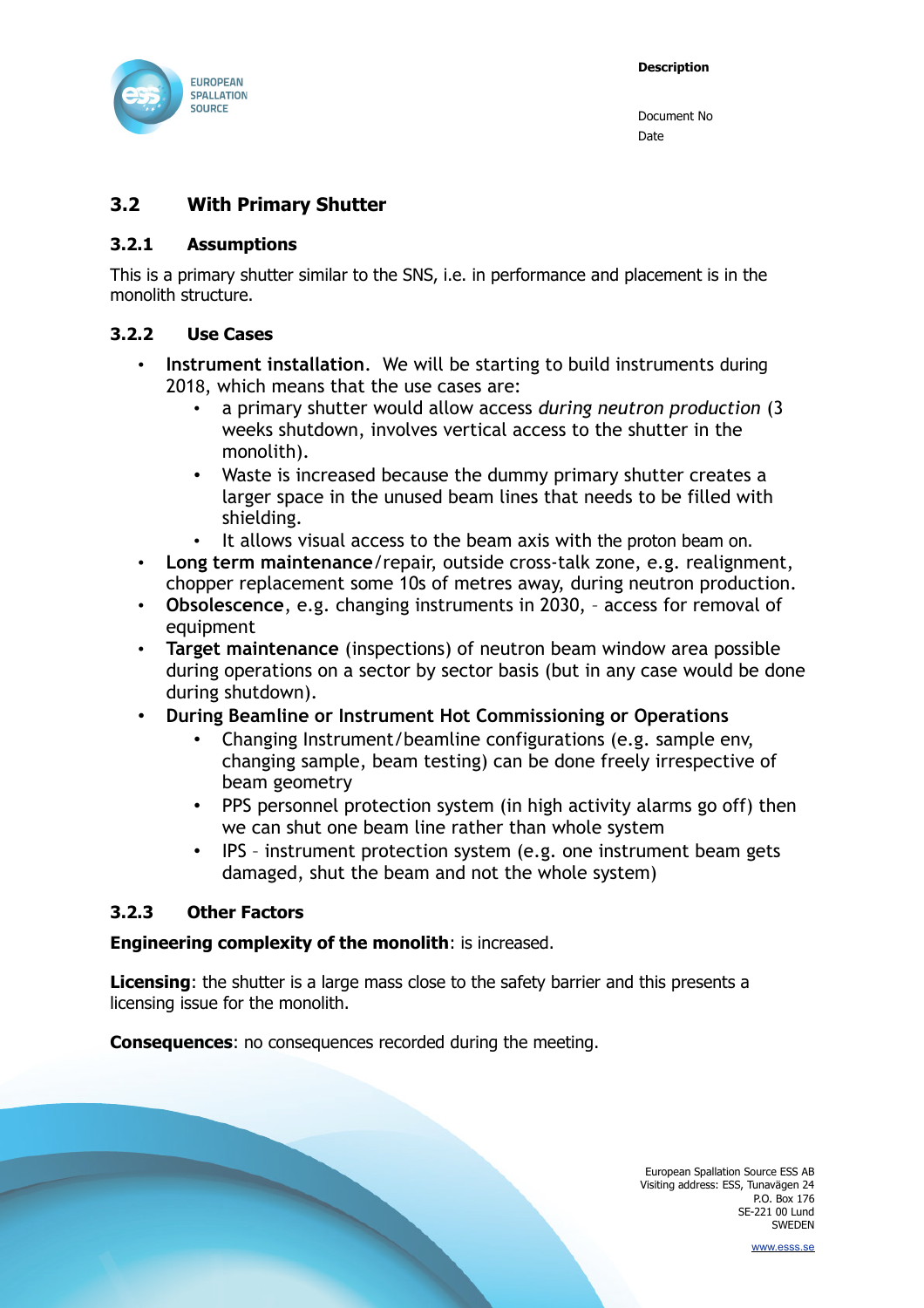

#### <span id="page-6-3"></span>**3.2 With Primary Shutter**

#### <span id="page-6-2"></span>**3.2.1 Assumptions**

This is a primary shutter similar to the SNS, i.e. in performance and placement is in the monolith structure.

#### **3.2.2 Use Cases**

- <span id="page-6-1"></span>• **Instrument installation**. We will be starting to build instruments during 2018, which means that the use cases are:
	- a primary shutter would allow access *during neutron production* (3 weeks shutdown, involves vertical access to the shutter in the monolith).
	- Waste is increased because the dummy primary shutter creates a larger space in the unused beam lines that needs to be filled with shielding.
	- It allows visual access to the beam axis with the proton beam on.
- **Long term maintenance**/repair, outside cross-talk zone, e.g. realignment, chopper replacement some 10s of metres away, during neutron production.
- **Obsolescence**, e.g. changing instruments in 2030, access for removal of equipment
- **Target maintenance** (inspections) of neutron beam window area possible during operations on a sector by sector basis (but in any case would be done during shutdown).
- **During Beamline or Instrument Hot Commissioning or Operations**
	- Changing Instrument/beamline configurations (e.g. sample env, changing sample, beam testing) can be done freely irrespective of beam geometry
	- PPS personnel protection system (in high activity alarms go off) then we can shut one beam line rather than whole system
	- IPS instrument protection system (e.g. one instrument beam gets damaged, shut the beam and not the whole system)

#### <span id="page-6-0"></span>**3.2.3 Other Factors**

#### **Engineering complexity of the monolith**: is increased.

**Licensing**: the shutter is a large mass close to the safety barrier and this presents a licensing issue for the monolith.

**Consequences**: no consequences recorded during the meeting.

European Spallation Source ESS AB Visiting address: ESS, Tunavägen 24 P.O. Box 176 SE-221 00 Lund SWEDEN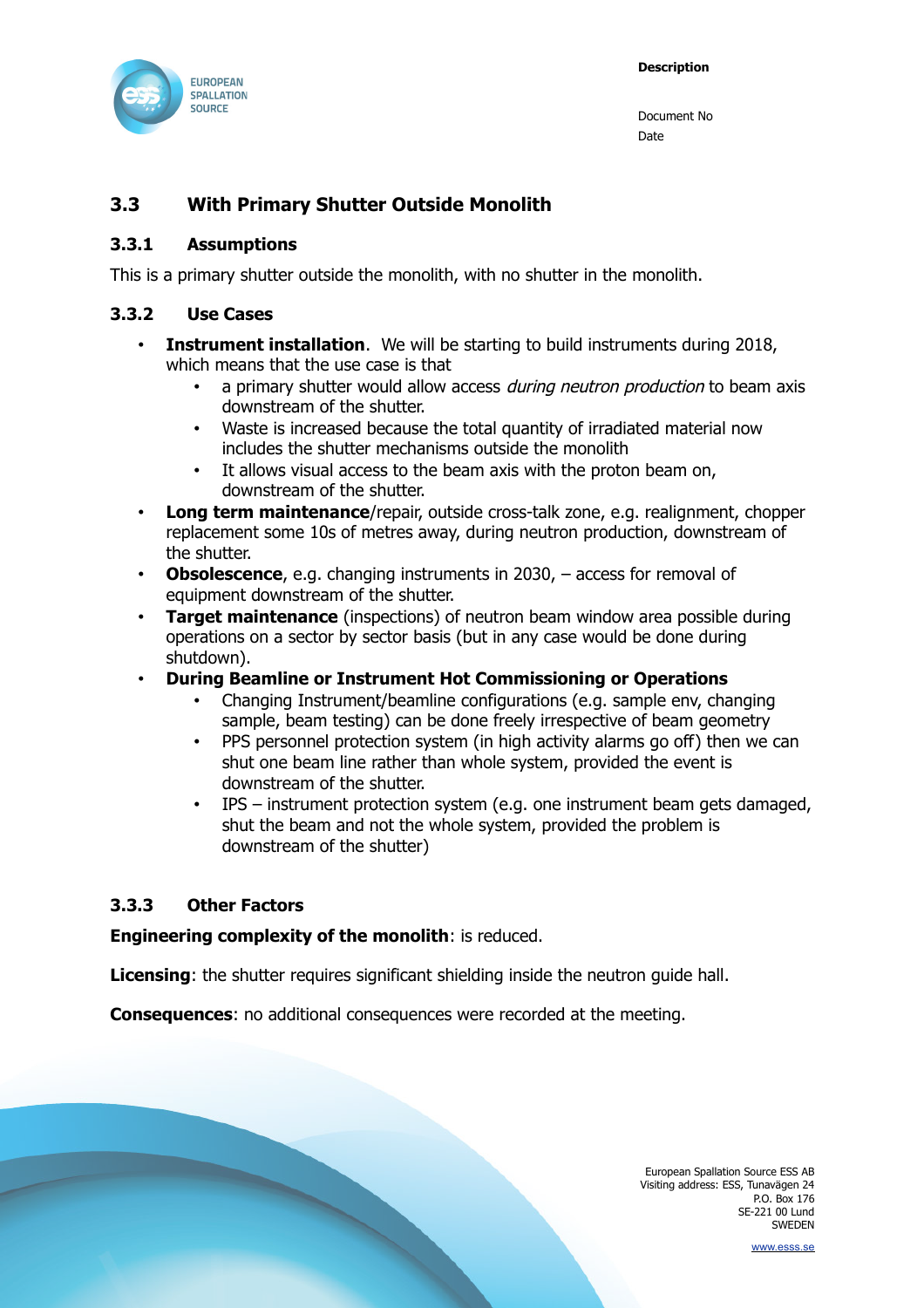

#### <span id="page-7-3"></span>**3.3 With Primary Shutter Outside Monolith**

#### <span id="page-7-2"></span>**3.3.1 Assumptions**

This is a primary shutter outside the monolith, with no shutter in the monolith.

#### **3.3.2 Use Cases**

- <span id="page-7-1"></span>• **Instrument installation**. We will be starting to build instruments during 2018, which means that the use case is that
	- a primary shutter would allow access *during neutron production* to beam axis downstream of the shutter.
	- Waste is increased because the total quantity of irradiated material now includes the shutter mechanisms outside the monolith
	- It allows visual access to the beam axis with the proton beam on, downstream of the shutter.
- **Long term maintenance**/repair, outside cross-talk zone, e.g. realignment, chopper replacement some 10s of metres away, during neutron production, downstream of the shutter.
- **Obsolescence**, e.g. changing instruments in 2030, access for removal of equipment downstream of the shutter.
- **Target maintenance** (inspections) of neutron beam window area possible during operations on a sector by sector basis (but in any case would be done during shutdown).
- **During Beamline or Instrument Hot Commissioning or Operations**
	- Changing Instrument/beamline configurations (e.g. sample env, changing sample, beam testing) can be done freely irrespective of beam geometry
	- PPS personnel protection system (in high activity alarms go off) then we can shut one beam line rather than whole system, provided the event is downstream of the shutter.
	- IPS instrument protection system (e.g. one instrument beam gets damaged, shut the beam and not the whole system, provided the problem is downstream of the shutter)

#### <span id="page-7-0"></span>**3.3.3 Other Factors**

#### **Engineering complexity of the monolith**: is reduced.

**Licensing**: the shutter requires significant shielding inside the neutron guide hall.

**Consequences:** no additional consequences were recorded at the meeting.

European Spallation Source ESS AB Visiting address: ESS, Tunavägen 24 P.O. Box 176 SE-221 00 Lund SWEDEN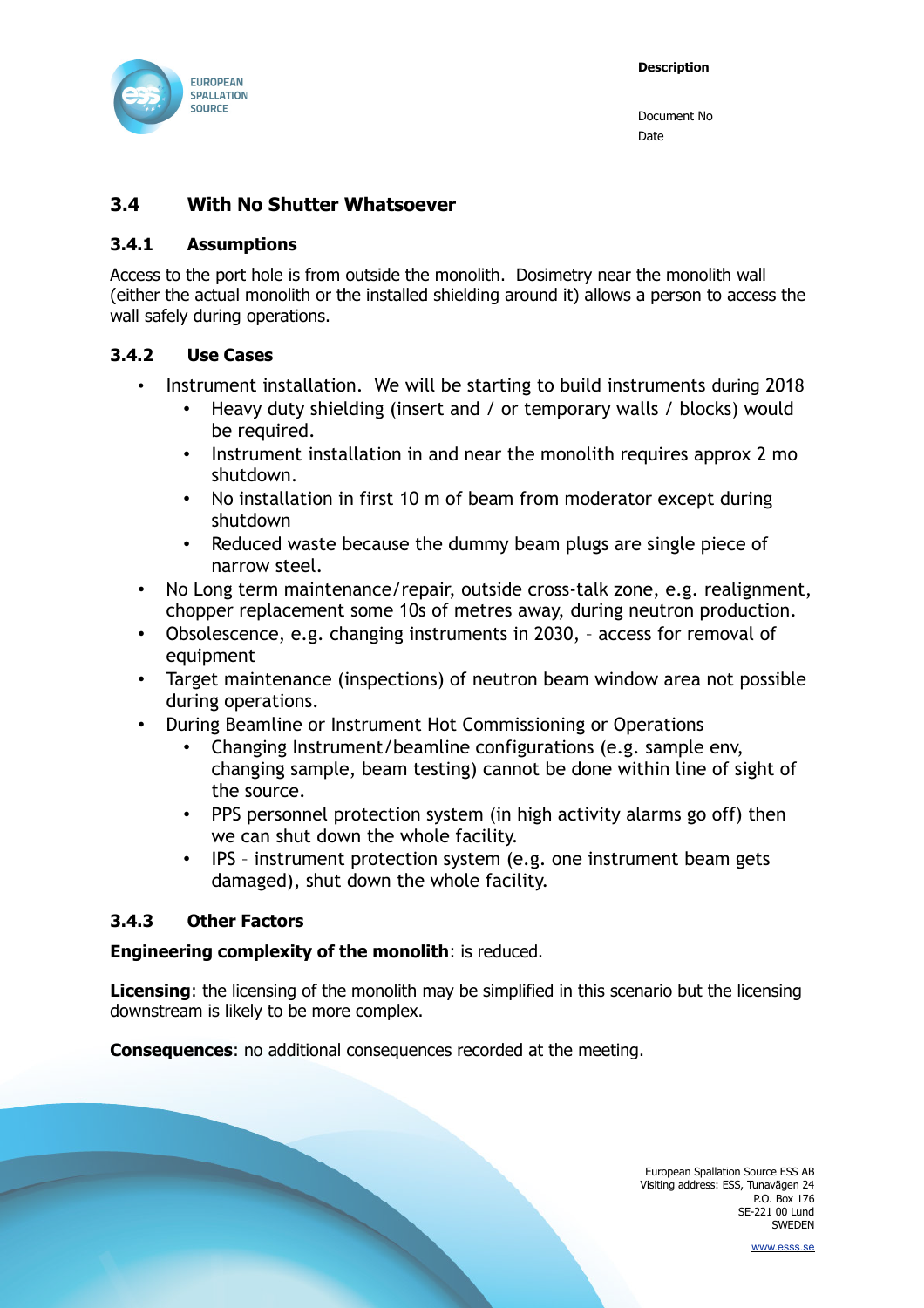

#### <span id="page-8-3"></span>**3.4 With No Shutter Whatsoever**

#### <span id="page-8-2"></span>**3.4.1 Assumptions**

Access to the port hole is from outside the monolith. Dosimetry near the monolith wall (either the actual monolith or the installed shielding around it) allows a person to access the wall safely during operations.

#### **3.4.2 Use Cases**

- <span id="page-8-1"></span>• Instrument installation. We will be starting to build instruments during 2018
	- Heavy duty shielding (insert and / or temporary walls / blocks) would be required.
	- Instrument installation in and near the monolith requires approx 2 mo shutdown.
	- No installation in first 10 m of beam from moderator except during shutdown
	- Reduced waste because the dummy beam plugs are single piece of narrow steel.
- No Long term maintenance/repair, outside cross-talk zone, e.g. realignment, chopper replacement some 10s of metres away, during neutron production.
- Obsolescence, e.g. changing instruments in 2030, access for removal of equipment
- Target maintenance (inspections) of neutron beam window area not possible during operations.
- During Beamline or Instrument Hot Commissioning or Operations
	- Changing Instrument/beamline configurations (e.g. sample env, changing sample, beam testing) cannot be done within line of sight of the source.
	- PPS personnel protection system (in high activity alarms go off) then we can shut down the whole facility.
	- IPS instrument protection system (e.g. one instrument beam gets damaged), shut down the whole facility.

#### <span id="page-8-0"></span>**3.4.3 Other Factors**

#### **Engineering complexity of the monolith**: is reduced.

**Licensing**: the licensing of the monolith may be simplified in this scenario but the licensing downstream is likely to be more complex.

**Consequences**: no additional consequences recorded at the meeting.

European Spallation Source ESS AB Visiting address: ESS, Tunavägen 24 P.O. Box 176 SE-221 00 Lund SWEDEN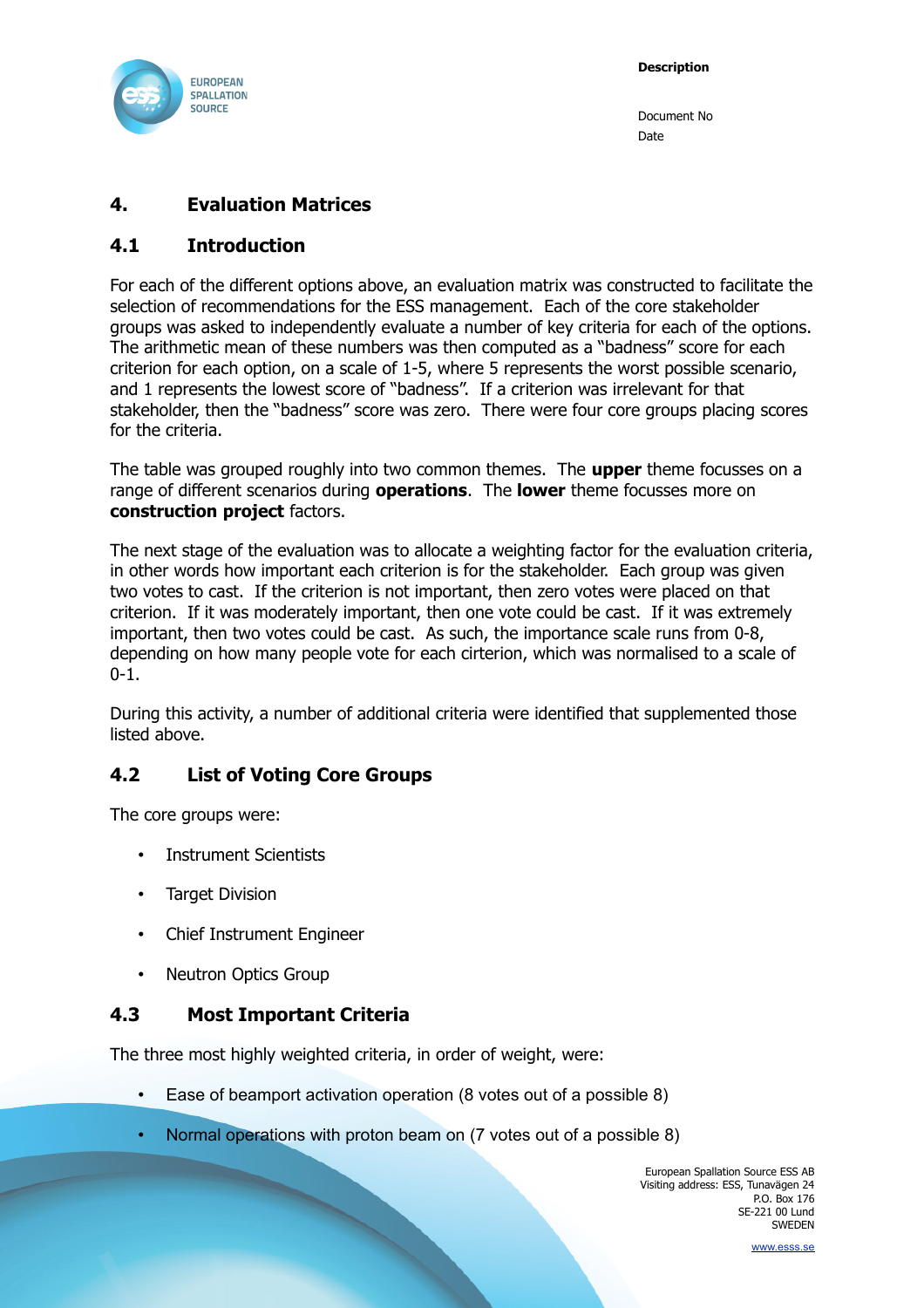

### **4. Evaluation Matrices**

#### **4.1 Introduction**

For each of the different options above, an evaluation matrix was constructed to facilitate the selection of recommendations for the ESS management. Each of the core stakeholder groups was asked to independently evaluate a number of key criteria for each of the options. The arithmetic mean of these numbers was then computed as a "badness" score for each criterion for each option, on a scale of 1-5, where 5 represents the worst possible scenario, and 1 represents the lowest score of "badness". If a criterion was irrelevant for that stakeholder, then the "badness" score was zero. There were four core groups placing scores for the criteria.

The table was grouped roughly into two common themes. The **upper** theme focusses on a range of different scenarios during **operations**. The **lower** theme focusses more on **construction project** factors.

The next stage of the evaluation was to allocate a weighting factor for the evaluation criteria, in other words how important each criterion is for the stakeholder. Each group was given two votes to cast. If the criterion is not important, then zero votes were placed on that criterion. If it was moderately important, then one vote could be cast. If it was extremely important, then two votes could be cast. As such, the importance scale runs from 0-8, depending on how many people vote for each cirterion, which was normalised to a scale of  $0 - 1$ .

During this activity, a number of additional criteria were identified that supplemented those listed above.

#### **4.2 List of Voting Core Groups**

The core groups were:

- Instrument Scientists
- **Target Division**
- Chief Instrument Engineer
- Neutron Optics Group

#### **4.3 Most Important Criteria**

The three most highly weighted criteria, in order of weight, were:

- Ease of beamport activation operation (8 votes out of a possible 8)
- Normal operations with proton beam on (7 votes out of a possible 8)

European Spallation Source ESS AB Visiting address: ESS, Tunavägen 24 P.O. Box 176 SE-221 00 Lund SWEDEN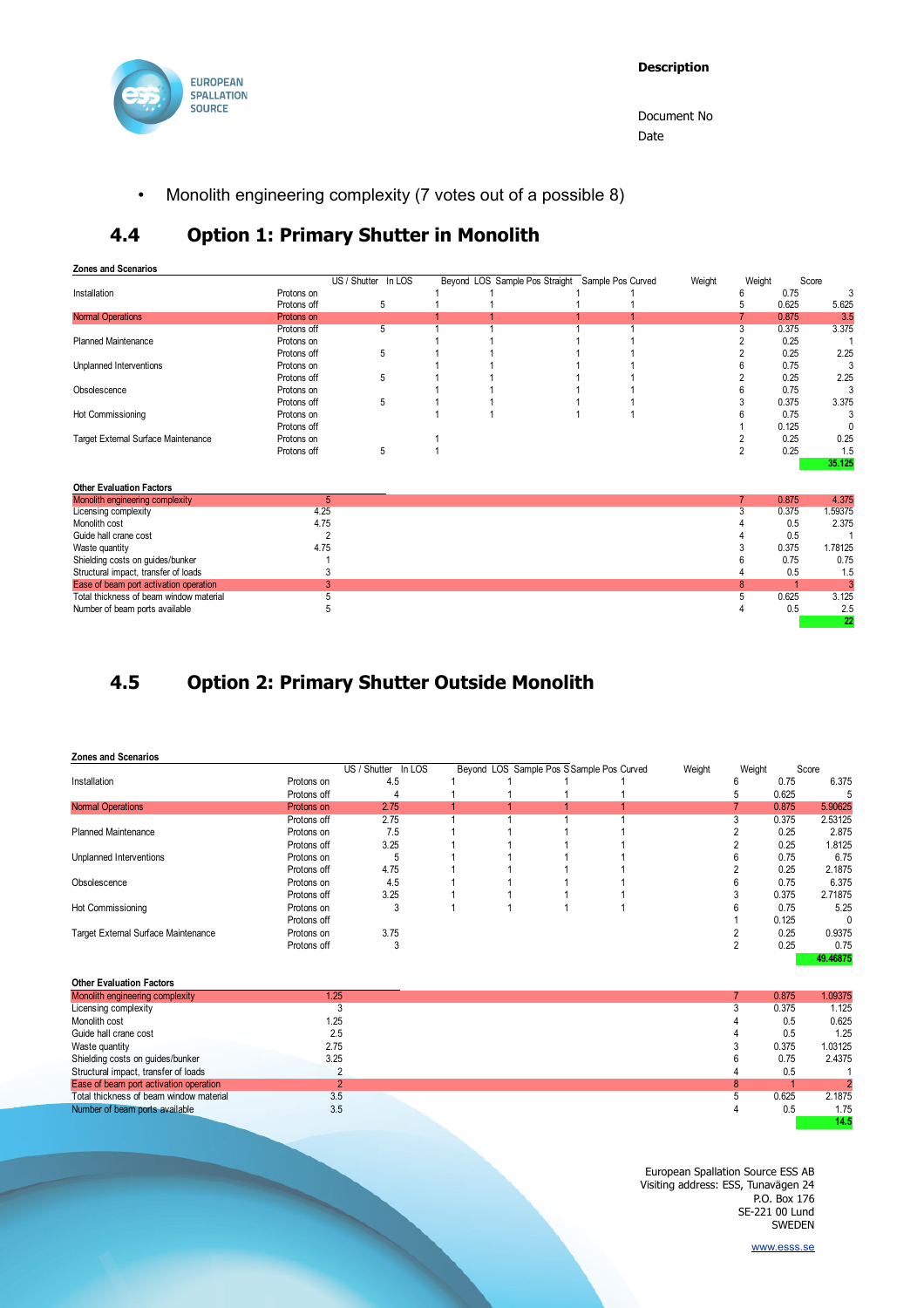

• Monolith engineering complexity (7 votes out of a possible 8)

### **4.4 Option 1: Primary Shutter in Monolith**

#### **Zones and Scenarios**

|                                     |             | US / Shutter In LOS |  | Beyond LOS Sample Pos Straight Sample Pos Curved | Weight | Weight |       | Score  |
|-------------------------------------|-------------|---------------------|--|--------------------------------------------------|--------|--------|-------|--------|
| Installation                        | Protons on  |                     |  |                                                  |        |        | 0.75  |        |
|                                     | Protons off | 5                   |  |                                                  |        |        | 0.625 | 5.625  |
| <b>Normal Operations</b>            | Protons on  |                     |  |                                                  |        |        | 0.875 | 3.5    |
|                                     | Protons off | 5.                  |  |                                                  |        |        | 0.375 | 3.375  |
| <b>Planned Maintenance</b>          | Protons on  |                     |  |                                                  |        |        | 0.25  |        |
|                                     | Protons off | 5                   |  |                                                  |        |        | 0.25  | 2.25   |
| Unplanned Interventions             | Protons on  |                     |  |                                                  |        |        | 0.75  |        |
|                                     | Protons off | 5                   |  |                                                  |        |        | 0.25  | 2.25   |
| Obsolescence                        | Protons on  |                     |  |                                                  |        |        | 0.75  |        |
|                                     | Protons off | 5                   |  |                                                  |        |        | 0.375 | 3.375  |
| Hot Commissioning                   | Protons on  |                     |  |                                                  |        |        | 0.75  |        |
|                                     | Protons off |                     |  |                                                  |        |        | 0.125 |        |
| Target External Surface Maintenance | Protons on  |                     |  |                                                  |        |        | 0.25  | 0.25   |
|                                     | Protons off | 5                   |  |                                                  |        |        | 0.25  | 1.5    |
|                                     |             |                     |  |                                                  |        |        |       | 35.125 |

| <b>Other Evaluation Factors</b>         |      |       |         |
|-----------------------------------------|------|-------|---------|
| Monolith engineering complexity         |      | 0.875 | 4.375   |
| Licensing complexity                    | 4.25 | 0.375 | 1.59375 |
| Monolith cost                           | 4.75 | 0.5   | 2.375   |
| Guide hall crane cost                   |      | 0.5   |         |
| Waste quantity                          | 4.75 | 0.375 | 1.78125 |
| Shielding costs on guides/bunker        |      | 0.75  | 0.75    |
| Structural impact, transfer of loads    |      | 0.5   | 1.5     |
| Ease of beam port activation operation  |      |       | 3       |
| Total thickness of beam window material |      | 0.625 | 3.125   |
| Number of beam ports available          |      | 0.5   | 2.5     |
|                                         |      |       | 22      |

## **4.5 Option 2: Primary Shutter Outside Monolith**

#### **Zones and Scenarios**

|                                     |             | US / Shutter<br>In LOS | Beyond LOS Sample Pos S Sample Pos Curved |  | Weight | Weight |       | Score    |
|-------------------------------------|-------------|------------------------|-------------------------------------------|--|--------|--------|-------|----------|
| Installation                        | Protons on  | 4.5                    |                                           |  |        | n      | 0.75  | 6.375    |
|                                     | Protons off | 4                      |                                           |  |        |        | 0.625 |          |
| <b>Normal Operations</b>            | Protons on  | 2.75                   |                                           |  |        |        | 0.875 | 5.90625  |
|                                     | Protons off | 2.75                   |                                           |  |        |        | 0.375 | 2.53125  |
| <b>Planned Maintenance</b>          | Protons on  | 7.5                    |                                           |  |        |        | 0.25  | 2.875    |
|                                     | Protons off | 3.25                   |                                           |  |        |        | 0.25  | 1.8125   |
| Unplanned Interventions             | Protons on  |                        |                                           |  |        |        | 0.75  | 6.75     |
|                                     | Protons off | 4.75                   |                                           |  |        |        | 0.25  | 2.1875   |
| Obsolescence                        | Protons on  | 4.5                    |                                           |  |        |        | 0.75  | 6.375    |
|                                     | Protons off | 3.25                   |                                           |  |        |        | 0.375 | 2.71875  |
| Hot Commissioning                   | Protons on  |                        |                                           |  |        |        | 0.75  | 5.25     |
|                                     | Protons off |                        |                                           |  |        |        | 0.125 | $\Omega$ |
| Target External Surface Maintenance | Protons on  | 3.75                   |                                           |  |        |        | 0.25  | 0.9375   |
|                                     | Protons off |                        |                                           |  |        |        | 0.25  | 0.75     |
|                                     |             |                        |                                           |  |        |        |       | 49.46875 |

| <b>Other Evaluation Factors</b>         |      |   |       |                |
|-----------------------------------------|------|---|-------|----------------|
| Monolith engineering complexity         | 1.25 |   | 0.875 | 1.09375        |
| Licensing complexity                    |      |   | 0.375 | 1.125          |
| Monolith cost                           | l.25 |   | 0.5   | 0.625          |
| Guide hall crane cost                   | 2.5  |   | 0.5   | 1.25           |
| Waste quantity                          | 2.75 |   | 0.375 | 1.03125        |
| Shielding costs on guides/bunker        | 3.25 |   | 0.75  | 2.4375         |
| Structural impact, transfer of loads    |      |   | 0.5   |                |
| Ease of beam port activation operation  |      | 8 |       | $\overline{2}$ |
| Total thickness of beam window material | 3.5  |   | 0.625 | 2.1875         |
| Number of beam ports available          | 3.5  |   | 0.5   | 1.75           |
|                                         |      |   |       | 14.5           |

European Spallation Source ESS AB Visiting address: ESS, Tunavägen 24 P.O. Box 176 SE-221 00 Lund SWEDEN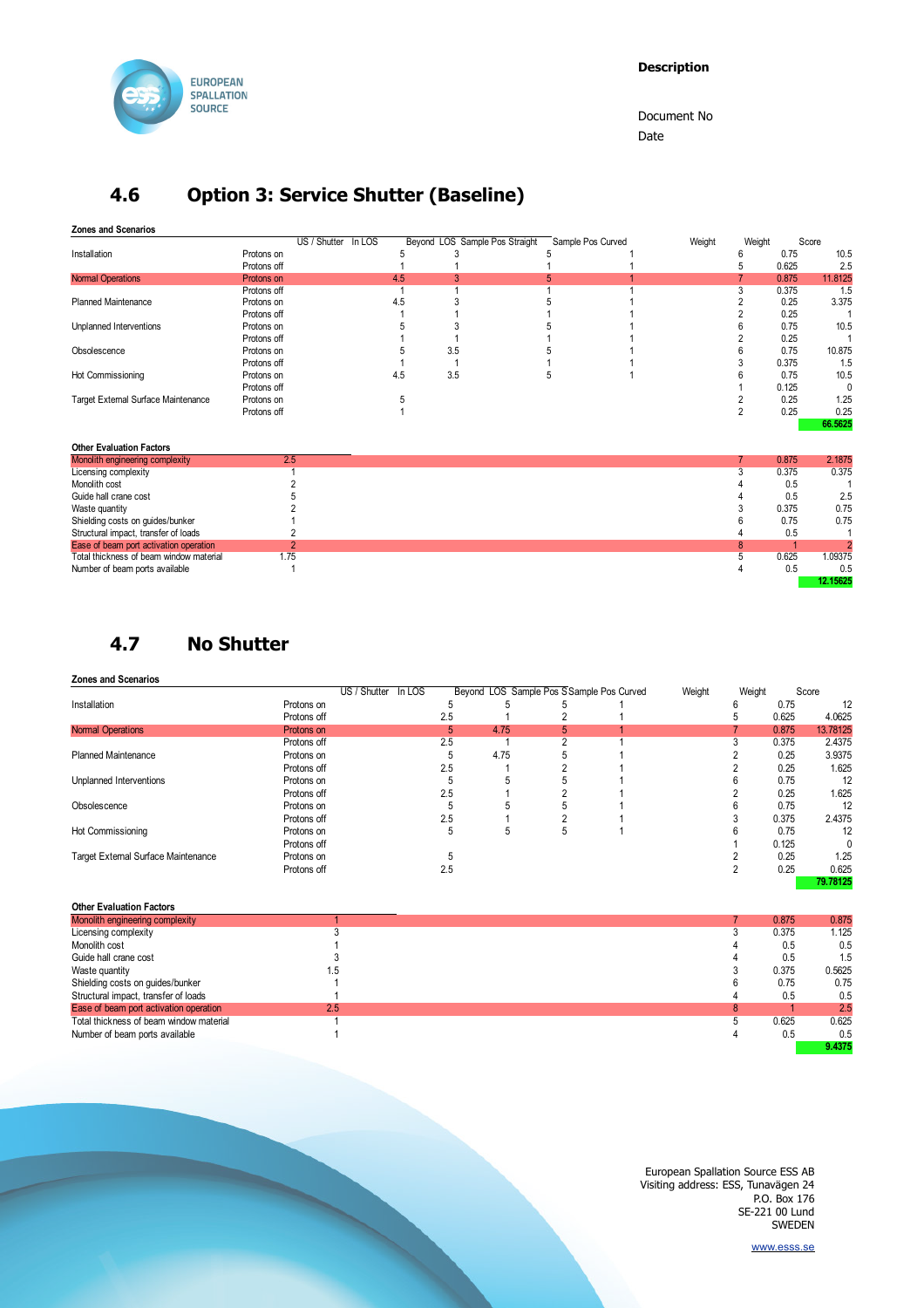

## **4.6 Option 3: Service Shutter (Baseline)**

**Zones and Scenarios**

| LUITUS ANU UUCHANOS                 |             |              |        |     |                                |                   |        |        |       |         |
|-------------------------------------|-------------|--------------|--------|-----|--------------------------------|-------------------|--------|--------|-------|---------|
|                                     |             | US / Shutter | In LOS |     | Beyond LOS Sample Pos Straight | Sample Pos Curved | Weight | Weight |       | Score   |
| Installation                        | Protons on  |              |        |     |                                |                   |        |        | 0.75  | 10.5    |
|                                     | Protons off |              |        |     |                                |                   |        |        | 0.625 | 2.5     |
| <b>Normal Operations</b>            | Protons on  |              |        | 4.5 |                                |                   |        |        | 0.875 | 11.8125 |
|                                     | Protons off |              |        |     |                                |                   |        |        | 0.375 | 1.5     |
| <b>Planned Maintenance</b>          | Protons on  |              |        | 4.5 |                                |                   |        |        | 0.25  | 3.375   |
|                                     | Protons off |              |        |     |                                |                   |        |        | 0.25  |         |
| Unplanned Interventions             | Protons on  |              |        |     |                                |                   |        |        | 0.75  | 10.5    |
|                                     | Protons off |              |        |     |                                |                   |        |        | 0.25  |         |
| Obsolescence                        | Protons on  |              |        |     | 3.5                            |                   |        |        | 0.75  | 10.875  |
|                                     | Protons off |              |        |     |                                |                   |        | 0.375  | 1.5   |         |
| Hot Commissioning                   | Protons on  |              |        | 4.5 | 3.5                            |                   |        |        | 0.75  | 10.5    |
|                                     | Protons off |              |        |     |                                |                   |        |        | 0.125 |         |
| Target External Surface Maintenance | Protons on  |              |        |     |                                |                   |        |        | 0.25  | 1.25    |
|                                     | Protons off |              |        |     |                                |                   |        |        | 0.25  | 0.25    |
|                                     |             |              |        |     |                                |                   |        |        |       | 66.5625 |

| <b>Other Evaluation Factors</b>         |      |                  |
|-----------------------------------------|------|------------------|
| Monolith engineering complexity         | 2.5  | 2.1875<br>0.875  |
| Licensing complexity                    |      | 0.375<br>0.375   |
| Monolith cost                           |      | 0.5              |
| Guide hall crane cost                   |      | 2.5<br>0.5       |
| Waste quantity                          |      | 0.75<br>0.375    |
| Shielding costs on guides/bunker        |      | 0.75<br>0.75     |
| Structural impact, transfer of loads    |      | 0.5              |
| Ease of beam port activation operation  |      | o                |
| Total thickness of beam window material | 1.75 | 1.09375<br>0.625 |
| Number of beam ports available          |      | 0.5<br>0.5       |
|                                         |      | 12.15625         |

**4.7 No Shutter**

**Zones and Scenarios**

|                                     |             | US / Shutter In LOS |     | Beyond LOS Sample Pos SSample Pos Curved |   | Weight | Weight |       | Score    |
|-------------------------------------|-------------|---------------------|-----|------------------------------------------|---|--------|--------|-------|----------|
| Installation                        | Protons on  |                     |     |                                          |   |        |        | 0.75  | 12       |
|                                     | Protons off |                     | 2.5 |                                          |   |        |        | 0.625 | 4.0625   |
| <b>Normal Operations</b>            | Protons on  |                     | 5   | 4.75                                     | h |        |        | 0.875 | 13.78125 |
|                                     | Protons off |                     | 2.5 |                                          |   |        |        | 0.375 | 2.4375   |
| <b>Planned Maintenance</b>          | Protons on  |                     |     | 4.75                                     |   |        |        | 0.25  | 3.9375   |
|                                     | Protons off |                     | 2.5 |                                          |   |        |        | 0.25  | 1.625    |
| Unplanned Interventions             | Protons on  |                     |     |                                          |   |        |        | 0.75  | 12       |
|                                     | Protons off |                     | 2.5 |                                          |   |        |        | 0.25  | 1.625    |
| Obsolescence                        | Protons on  |                     |     |                                          |   |        |        | 0.75  | 12       |
|                                     | Protons off |                     | 2.5 |                                          |   |        |        | 0.375 | 2.4375   |
| Hot Commissioning                   | Protons on  |                     | h   | 5                                        |   |        |        | 0.75  | 12       |
|                                     | Protons off |                     |     |                                          |   |        |        | 0.125 |          |
| Target External Surface Maintenance | Protons on  |                     |     |                                          |   |        |        | 0.25  | 1.25     |
|                                     | Protons off |                     | 2.5 |                                          |   |        |        | 0.25  | 0.625    |
|                                     |             |                     |     |                                          |   |        |        |       | 79.78125 |

| <b>Other Evaluation Factors</b>         |     |   |       |        |
|-----------------------------------------|-----|---|-------|--------|
| Monolith engineering complexity         |     |   | 0.875 | 0.875  |
| Licensing complexity                    |     |   | 0.375 | 1.125  |
| Monolith cost                           |     |   | 0.5   | 0.5    |
| Guide hall crane cost                   |     |   | 0.5   | 1.5    |
| Waste quantity                          | ۱.5 |   | 0.375 | 0.5625 |
| Shielding costs on guides/bunker        |     |   | 0.75  | 0.75   |
| Structural impact, transfer of loads    |     |   | 0.5   | 0.5    |
| Ease of beam port activation operation  | 2.5 | 8 |       | 2.5    |
| Total thickness of beam window material |     |   | 0.625 | 0.625  |
| Number of beam ports available          |     |   | 0.5   | 0.5    |
|                                         |     |   |       | 9.4375 |

European Spallation Source ESS AB Visiting address: ESS, Tunavägen 24 P.O. Box 176 SE-221 00 Lund SWEDEN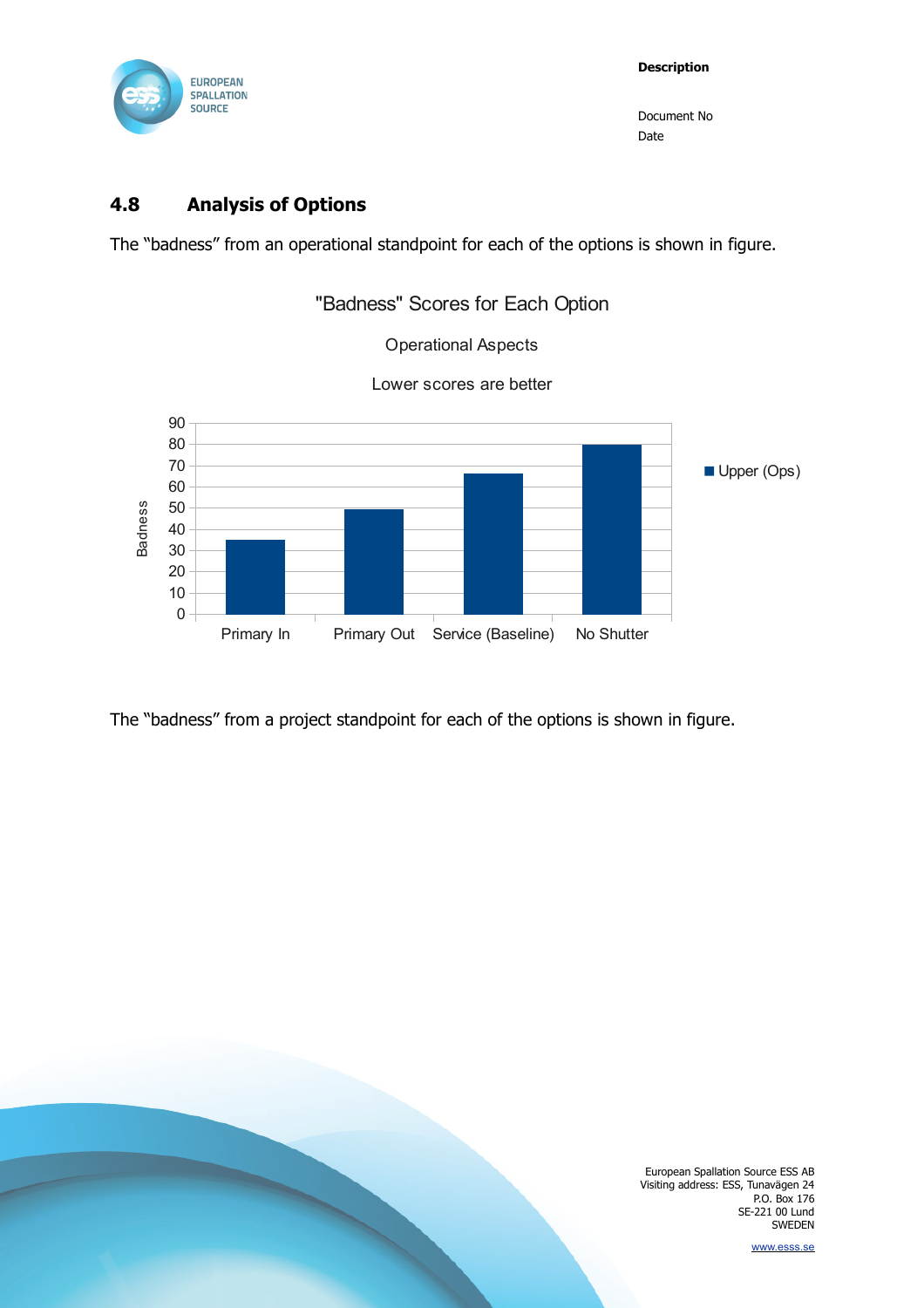

### **4.8 Analysis of Options**

The "badness" from an operational standpoint for each of the options is shown in figure.



The "badness" from a project standpoint for each of the options is shown in figure.

European Spallation Source ESS AB Visiting address: ESS, Tunavägen 24 P.O. Box 176 SE-221 00 Lund SWEDEN